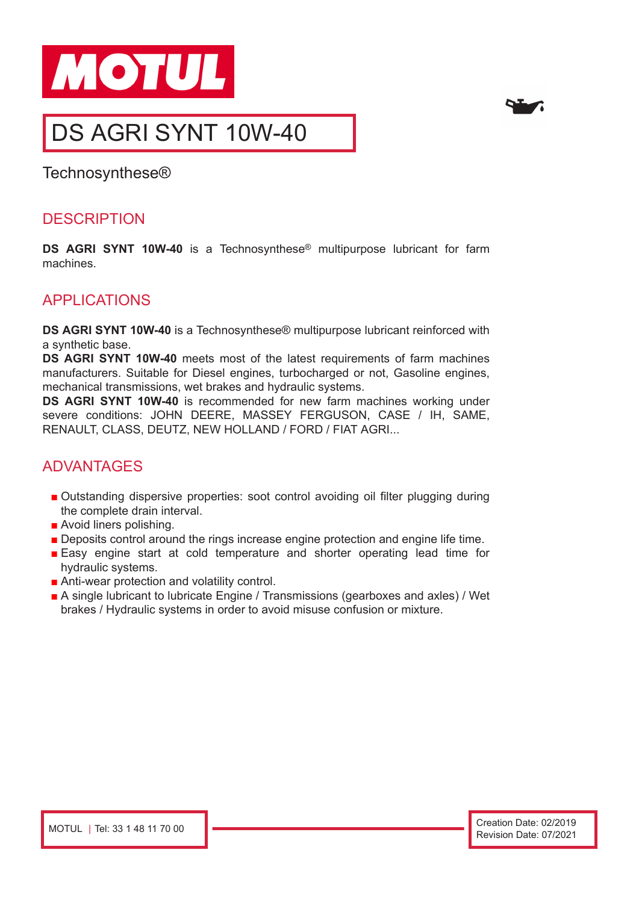



# DS AGRI SYNT 10W-40

Technosynthese®

## **DESCRIPTION**

**DS AGRI SYNT 10W-40** is a Technosynthese® multipurpose lubricant for farm machines.

## APPLICATIONS

**DS AGRI SYNT 10W-40** is a Technosynthese® multipurpose lubricant reinforced with a synthetic base.

**DS AGRI SYNT 10W-40** meets most of the latest requirements of farm machines manufacturers. Suitable for Diesel engines, turbocharged or not, Gasoline engines, mechanical transmissions, wet brakes and hydraulic systems.

**DS AGRI SYNT 10W-40** is recommended for new farm machines working under severe conditions: JOHN DEERE, MASSEY FERGUSON, CASE / IH, SAME, RENAULT, CLASS, DEUTZ, NEW HOLLAND / FORD / FIAT AGRI...

# ADVANTAGES

- Outstanding dispersive properties: soot control avoiding oil filter plugging during the complete drain interval.
- Avoid liners polishing.
- Deposits control around the rings increase engine protection and engine life time.
- Easy engine start at cold temperature and shorter operating lead time for hydraulic systems.
- Anti-wear protection and volatility control.
- A single lubricant to lubricate Engine / Transmissions (gearboxes and axles) / Wet brakes / Hydraulic systems in order to avoid misuse confusion or mixture.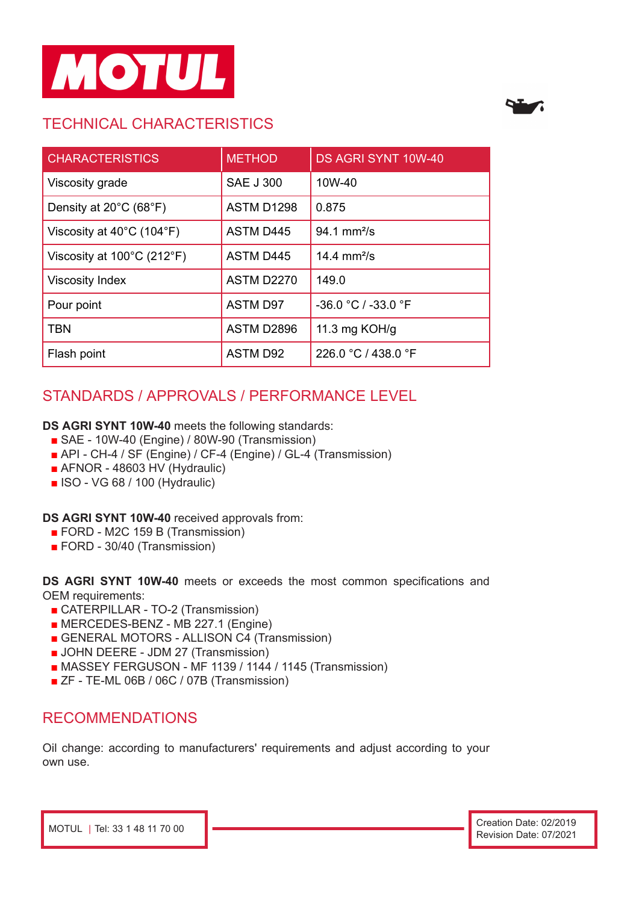

# TECHNICAL CHARACTERISTICS



| <b>CHARACTERISTICS</b>                         | <b>METHOD</b>     | DS AGRI SYNT 10W-40     |
|------------------------------------------------|-------------------|-------------------------|
| Viscosity grade                                | <b>SAE J 300</b>  | 10W-40                  |
| Density at $20^{\circ}$ C (68 $^{\circ}$ F)    | ASTM D1298        | 0.875                   |
| Viscosity at $40^{\circ}$ C (104 $^{\circ}$ F) | <b>ASTM D445</b>  | $94.1 \text{ mm}^2$ /s  |
| Viscosity at 100°C (212°F)                     | <b>ASTM D445</b>  | 14.4 mm <sup>2</sup> /s |
| <b>Viscosity Index</b>                         | <b>ASTM D2270</b> | 149.0                   |
| Pour point                                     | <b>ASTM D97</b>   | -36.0 °C / -33.0 °F     |
| <b>TBN</b>                                     | ASTM D2896        | 11.3 mg KOH/g           |
| Flash point                                    | <b>ASTM D92</b>   | 226.0 °C / 438.0 °F     |

# STANDARDS / APPROVALS / PERFORMANCE LEVEL

#### **DS AGRI SYNT 10W-40** meets the following standards:

- SAE 10W-40 (Engine) / 80W-90 (Transmission)
- API CH-4 / SF (Engine) / CF-4 (Engine) / GL-4 (Transmission)
- AFNOR 48603 HV (Hydraulic)
- ISO VG 68 / 100 (Hydraulic)

#### **DS AGRI SYNT 10W-40** received approvals from:

- FORD M2C 159 B (Transmission)
- FORD 30/40 (Transmission)

**DS AGRI SYNT 10W-40** meets or exceeds the most common specifications and OEM requirements:

- CATERPILLAR TO-2 (Transmission)
- MERCEDES-BENZ MB 227.1 (Engine)
- GENERAL MOTORS ALLISON C4 (Transmission)
- **JOHN DEERE JDM 27 (Transmission)**
- MASSEY FERGUSON MF 1139 / 1144 / 1145 (Transmission)
- ZF TE-ML 06B / 06C / 07B (Transmission)

### RECOMMENDATIONS

Oil change: according to manufacturers' requirements and adjust according to your own use.